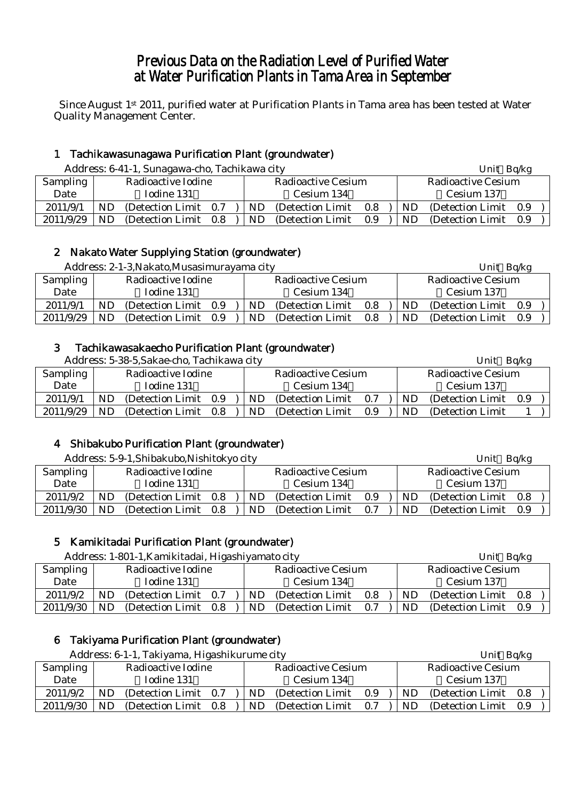# Previous Data on the Radiation Level of Purified Water at Water Purification Plants in Tama Area in September

Since August 1st 2011, purified water at Purification Plants in Tama area has been tested at Water Quality Management Center.

# 1 Tachikawasunagawa Purification Plant (groundwater)

Address: 6-41-1, Sunagawa-cho, Tachikawa city Unit Bq/kg

|           | $\ldots$ . The same $\ldots$ |                       |  |            |                    |     |  |            | $-1.11 - 1.77$     |     |  |  |  |
|-----------|------------------------------|-----------------------|--|------------|--------------------|-----|--|------------|--------------------|-----|--|--|--|
| Sampling  |                              | Radioactive Iodine    |  |            | Radioactive Cesium |     |  |            | Radioactive Cesium |     |  |  |  |
| Date      |                              | Iodine 131            |  | Cesium 134 |                    |     |  | Cesium 137 |                    |     |  |  |  |
| 2011/9/1  | ND.                          | (Detection Limit 0.7) |  | ND.        | (Detection Limit)  | 0.8 |  | ND.        | (Detection Limit)  | 0.9 |  |  |  |
| 2011/9/29 | ND.                          | (Detection Limit 0.8) |  | ND.        | (Detection Limit)  | 0.9 |  | ND.        | (Detection Limit)  | 0.9 |  |  |  |

### 2 Nakato Water Supplying Station (groundwater)

|           |    | Address: 2-1-3, Nakato, Musasimurayama city |                    |  |    |                   |            | Unit Bq/kg |                    |     |  |
|-----------|----|---------------------------------------------|--------------------|--|----|-------------------|------------|------------|--------------------|-----|--|
| Sampling  |    | Radioactive Iodine                          | Radioactive Cesium |  |    |                   |            |            | Radioactive Cesium |     |  |
| Date      |    | Iodine 131                                  |                    |  |    | Cesium 134        | Cesium 137 |            |                    |     |  |
| 2011/9/1  | ND | (Detection Limit                            | 0.9                |  | ND | (Detection Limit) | 0.8        | ND         | (Detection Limit)  | 0.9 |  |
| 2011/9/29 | ND | (Detection Limit                            | 0.9                |  | ND | (Detection Limit) | 0.8        | ND         | (Detection Limit)  | 0.9 |  |

### 3 Tachikawasakaecho Purification Plant (groundwater)

Address: 5-38-5, Sakae-cho, Tachikawa city Unit Bq/kg Unit Bq/kg

|           |            | 7 iddi cəs. Ə Əo Ə.Sanac Cho, Tachina wa City |     | <b>UIII</b> U | <b>DUINE</b>              |     |            |                       |  |  |
|-----------|------------|-----------------------------------------------|-----|---------------|---------------------------|-----|------------|-----------------------|--|--|
| Sampling  |            | Radioactive Iodine                            |     |               | <b>Radioactive Cesium</b> |     |            | Radioactive Cesium    |  |  |
| Date      | Iodine 131 |                                               |     |               | Cesium 134                |     | Cesium 137 |                       |  |  |
| 2011/9/1  | ND         | (Detection Limit 0.9)                         |     | ND.           | (Detection Limit)         | 0.7 | ND.        | (Detection Limit 0.9) |  |  |
| 2011/9/29 | ND         | (Detection Limit)                             | 0.8 | ND.           | (Detection Limit)         | 0.9 | ND.        | (Detection Limit)     |  |  |

# 4 Shibakubo Purification Plant (groundwater)

|           |    | Address: 5-9-1, Shibakubo, Nishitokyo city |     |  |    |                    |     |            | Unit               | Bq/kg |  |
|-----------|----|--------------------------------------------|-----|--|----|--------------------|-----|------------|--------------------|-------|--|
| Sampling  |    | Radioactive Iodine                         |     |  |    | Radioactive Cesium |     |            | Radioactive Cesium |       |  |
| Date      |    | Iodine 131                                 |     |  |    | Cesium 134         |     | Cesium 137 |                    |       |  |
| 2011/9/2  | ND | (Detection Limit)                          | 0.8 |  | ND | (Detection Limit)  | 0.9 | ND         | (Detection Limit)  | 0.8   |  |
| 2011/9/30 | ND | (Detection Limit)                          | 0.8 |  | ND | (Detection Limit)  | 0.7 | ND         | (Detection Limit)  | 0.9   |  |

# 5 Kamikitadai Purification Plant (groundwater)

|           |                    | Address: 1-801-1, Kamikitadai, Higashiyamato city |         |  |     |                           |     |            | Unit Bq/kg                |  |  |  |
|-----------|--------------------|---------------------------------------------------|---------|--|-----|---------------------------|-----|------------|---------------------------|--|--|--|
| Sampling  | Radioactive Iodine |                                                   |         |  |     | <b>Radioactive Cesium</b> |     |            | <b>Radioactive Cesium</b> |  |  |  |
| Date      |                    | Iodine 131                                        |         |  |     | Cesium 134                |     | Cesium 137 |                           |  |  |  |
| 2011/9/2  | ND                 | (Detection Limit)                                 | 0.7     |  | ND. | (Detection Limit)         | 0.8 | ND.        | (Detection Limit 0.8)     |  |  |  |
| 2011/9/30 | ND.                | (Detection Limit)                                 | $0.8\,$ |  | ND. | (Detection Limit)         | 0.7 | ND.        | (Detection Limit 0.9)     |  |  |  |

# 6 Takiyama Purification Plant (groundwater)

|           |    | Address: 6-1-1, Takiyama, Higashikurume city |     |  |     |                           |     | Unit Bq/kg |                           |     |  |
|-----------|----|----------------------------------------------|-----|--|-----|---------------------------|-----|------------|---------------------------|-----|--|
| Sampling  |    | Radioactive Iodine                           |     |  |     | <b>Radioactive Cesium</b> |     |            | <b>Radioactive Cesium</b> |     |  |
| Date      |    | Iodine 131                                   |     |  |     | Cesium 134                |     | Cesium 137 |                           |     |  |
| 2011/9/2  | ND | (Detection Limit)                            | 0.7 |  | ND. | (Detection Limit)         | 0.9 | ND.        | (Detection Limit)         | 0.8 |  |
| 2011/9/30 | ND | (Detection Limit)                            | 0.8 |  | ND  | (Detection Limit)         | 0.7 | ND         | (Detection Limit)         | 0.9 |  |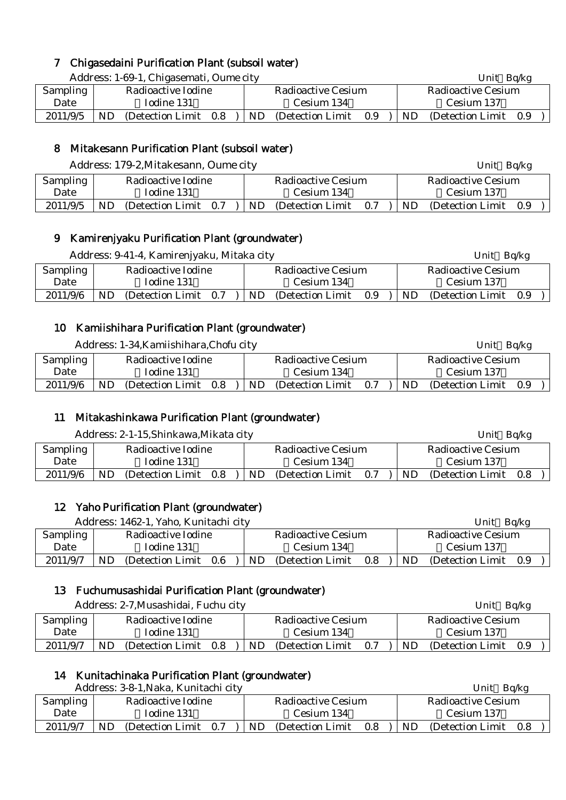### 7 Chigasedaini Purification Plant (subsoil water)

|          |    | Address: 1-69-1, Chigasemati, Oume city |     |  |     |                    |     |     | Unit Bq/kg         |     |
|----------|----|-----------------------------------------|-----|--|-----|--------------------|-----|-----|--------------------|-----|
| Sampling |    | Radioactive Iodine                      |     |  |     | Radioactive Cesium |     |     | Radioactive Cesium |     |
| Date     |    | Iodine 131                              |     |  |     | Cesium 134         |     |     | Cesium 137         |     |
| 2011/9/5 | ND | (Detection Limit)                       | 0.8 |  | ND. | (Detection Limit)  | 0.9 | ND. | (Detection Limit)  | 0.9 |

# 8 Mitakesann Purification Plant (subsoil water)

Address: 179-2, Mitakesann, Oume city Unit Bq/kg

| Sampling |    | Radioactive Iodine |     |     | Radioactive Cesium |     |     | Radioactive Cesium |     |  |
|----------|----|--------------------|-----|-----|--------------------|-----|-----|--------------------|-----|--|
| Date     |    | Iodine 131         |     |     | Cesium 134         |     |     | Cesium 137         |     |  |
| 2011/9/5 | ND | (Detection Limit)  | 0.7 | ND. | (Detection Limit)  | 0.7 | ND. | (Detection Limit)  | 0.9 |  |

# 9 Kamirenjyaku Purification Plant (groundwater)

|          |                    |                       |  | Address: 9-41-4, Kamirenjyaku, Mitaka city |                           |     |                    |                   |     |  |  |
|----------|--------------------|-----------------------|--|--------------------------------------------|---------------------------|-----|--------------------|-------------------|-----|--|--|
| Sampling | Radioactive Iodine |                       |  |                                            | <b>Radioactive Cesium</b> |     | Radioactive Cesium |                   |     |  |  |
| Date     | Iodine 131         |                       |  |                                            | Cesium 134                |     | Cesium 137         |                   |     |  |  |
| 2011/9/6 | ND                 | (Detection Limit 0.7) |  | ND                                         | (Detection Limit)         | 0.9 | ND.                | (Detection Limit) | 0.9 |  |  |

### 10 Kamiishihara Purification Plant (groundwater)

|          |                    | Address: 1-34, Kamiishihara, Chofu city |     |  |                    |                   |            |     | Unit Bq/kg            |  |  |  |
|----------|--------------------|-----------------------------------------|-----|--|--------------------|-------------------|------------|-----|-----------------------|--|--|--|
| Sampling | Radioactive Iodine |                                         |     |  | Radioactive Cesium |                   |            |     | Radioactive Cesium    |  |  |  |
| Date     | Iodine 131         |                                         |     |  |                    | Cesium 134        | Cesium 137 |     |                       |  |  |  |
| 2011/9/6 | ND                 | (Detection Limit)                       | 0.8 |  | ND.                | (Detection Limit) | 0.7        | ND. | (Detection Limit 0.9) |  |  |  |
|          |                    |                                         |     |  |                    |                   |            |     |                       |  |  |  |

### 11 Mitakashinkawa Purification Plant (groundwater)

|          |                    | Address: 2-1-15, Shinkawa, Mikata city |     |            |                    |     |  | Unit Bq/kg         |                   |     |  |  |
|----------|--------------------|----------------------------------------|-----|------------|--------------------|-----|--|--------------------|-------------------|-----|--|--|
| Sampling | Radioactive Iodine |                                        |     |            | Radioactive Cesium |     |  | Radioactive Cesium |                   |     |  |  |
| Date     | Iodine 131         |                                        |     | Cesium 134 |                    |     |  | Cesium 137         |                   |     |  |  |
| 2011/9/6 | ND                 | (Detection Limit)                      | 0.8 | ND.        | (Detection Limit)  | 0.7 |  | ND                 | (Detection Limit) | 0.8 |  |  |

# 12 Yaho Purification Plant (groundwater)

|          |            | Address: 1462-1, Yaho, Kunitachi city |     |  |                    |                   |     |     | Unit                  | Bq/kg |  |  |  |
|----------|------------|---------------------------------------|-----|--|--------------------|-------------------|-----|-----|-----------------------|-------|--|--|--|
| Sampling |            | Radioactive Iodine                    |     |  | Radioactive Cesium |                   |     |     | Radioactive Cesium    |       |  |  |  |
| Date     | Iodine 131 |                                       |     |  | Cesium 134         |                   |     |     | Cesium 137            |       |  |  |  |
| 2011/9/7 | ND         | (Detection Limit)                     | 0.6 |  | ND                 | (Detection Limit) | 0.8 | ND. | (Detection Limit 0.9) |       |  |  |  |

### 13 Fuchumusashidai Purification Plant (groundwater)

|          |            | Address: 2-7, Musashidai, Fuchu city |     |  |            |                    |                           | Unit Bq/kg |                       |  |  |
|----------|------------|--------------------------------------|-----|--|------------|--------------------|---------------------------|------------|-----------------------|--|--|
| Sampling |            | Radioactive Iodine                   |     |  |            | Radioactive Cesium | <b>Radioactive Cesium</b> |            |                       |  |  |
| Date     | Iodine 131 |                                      |     |  | Cesium 134 |                    |                           | Cesium 137 |                       |  |  |
| 2011/9/7 | ND         | (Detection Limit)                    | 0.8 |  | ND.        | (Detection Limit)  | 0.7                       | ND.        | (Detection Limit 0.9) |  |  |

# 14 Kunitachinaka Purification Plant (groundwater)

|                 |            | Address: 3-8-1, Naka, Kunitachi city |     |            |                    |                    | Unit $Bq/kg$ |                       |  |  |  |
|-----------------|------------|--------------------------------------|-----|------------|--------------------|--------------------|--------------|-----------------------|--|--|--|
| <b>Sampling</b> |            | Radioactive Iodine                   |     |            | Radioactive Cesium | Radioactive Cesium |              |                       |  |  |  |
| Date            | Iodine 131 |                                      |     | Cesium 134 |                    |                    | Cesium 137   |                       |  |  |  |
| 2011/9/7        | ND         | (Detection Limit)                    | 0.7 | ND         | (Detection Limit)  | 0.8                | ND.          | (Detection Limit 0.8) |  |  |  |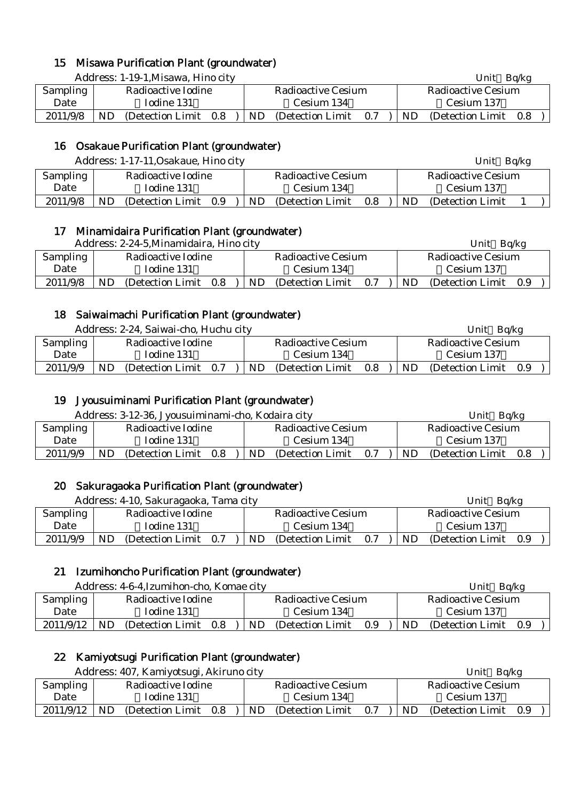### 15 Misawa Purification Plant (groundwater)

Address: 1-19-1, Misawa, Hino city Unit Ba/kg Unit Ba/kg Unit Ba/kg Unit Ba/kg Unit Ba/kg Unit Ba/kg Unit Ba

|          |            |                    |     |  |                    |                   | $   -$<br>$  -$ |            |                    |     |  |  |
|----------|------------|--------------------|-----|--|--------------------|-------------------|-----------------|------------|--------------------|-----|--|--|
| Sampling |            | Radioactive Iodine |     |  | Radioactive Cesium |                   |                 |            | Radioactive Cesium |     |  |  |
| Date     | Iodine 131 |                    |     |  | Cesium 134         |                   |                 | Cesium 137 |                    |     |  |  |
| 2011/9/8 | ND         | (Detection Limit)  | 0.8 |  | ND.                | (Detection Limit) | 0.7             | ND.        | (Detection Limit)  | 0.8 |  |  |

# 16 Osakaue Purification Plant (groundwater)

| Address: 1-17-11, Osakaue, Hino city |  |
|--------------------------------------|--|
|--------------------------------------|--|

| <b>Sampling</b> |    | Radioactive Iodine |     | Radioactive Cesium |                   |     |    | Radioactive Cesium |  |  |  |  |
|-----------------|----|--------------------|-----|--------------------|-------------------|-----|----|--------------------|--|--|--|--|
| Date            |    | Iodine 131         |     |                    | Cesium 134        |     |    | Cesium 137         |  |  |  |  |
| 2011/9/8        | ND | (Detection Limit)  | 0.9 | <b>ND</b>          | (Detection Limit) | 0.8 | ND | (Detection Limit)  |  |  |  |  |

Unit Bq/kg

### 17 Minamidaira Purification Plant (groundwater)

| Address: 2-24-5, Minamidaira, Hino city | Unit Bq/kg |
|-----------------------------------------|------------|
|                                         |            |

|                 |            |                       |  |    |                    |                    | -----<br>---- |                       |  |  |  |
|-----------------|------------|-----------------------|--|----|--------------------|--------------------|---------------|-----------------------|--|--|--|
| <b>Sampling</b> |            | Radioactive Iodine    |  |    | Radioactive Cesium | Radioactive Cesium |               |                       |  |  |  |
| Date            | Iodine 131 |                       |  |    | Cesium 134         | Cesium 137         |               |                       |  |  |  |
| 2011/9/8        | ND         | (Detection Limit 0.8) |  | ND | (Detection Limit)  | 0.7                | ND.           | (Detection Limit 0.9) |  |  |  |

### 18 Saiwaimachi Purification Plant (groundwater)

Address: 2-24, Saiwai-cho, Huchu city **Unit Background Background Background Background Background Background** 

|                 |            | $\mu$ rudi $\cos$ , $\omega$ $\omega$ i, barwar cho, Figura cho |     |    |                    | ◡…<br>$\mathbf{L}$ |    |                   |     |  |
|-----------------|------------|-----------------------------------------------------------------|-----|----|--------------------|--------------------|----|-------------------|-----|--|
| <b>Sampling</b> |            | Radioactive Iodine                                              |     |    | Radioactive Cesium | Radioactive Cesium |    |                   |     |  |
| Date            | Iodine 131 |                                                                 |     |    | Cesium 134         | Cesium 137         |    |                   |     |  |
| 2011/9/9        | ND         | (Detection Limit)                                               | 0.7 | ND | (Detection Limit)  | 0.8                | ND | (Detection Limit) | 0.9 |  |
|                 |            |                                                                 |     |    |                    |                    |    |                   |     |  |

### 19 Jyousuiminami Purification Plant (groundwater)

|          |            | Address: 3-12-36, Jyousuiminami-cho, Kodaira city | Bq/kg<br>Unit |     |                    |     |                    |                   |     |  |
|----------|------------|---------------------------------------------------|---------------|-----|--------------------|-----|--------------------|-------------------|-----|--|
| Sampling |            | Radioactive Iodine                                |               |     | Radioactive Cesium |     | Radioactive Cesium |                   |     |  |
| Date     | Iodine 131 |                                                   |               |     | Cesium 134         |     | Cesium 137         |                   |     |  |
| 2011/9/9 | ND         | (Detection Limit)                                 | 0.8           | ND. | (Detection Limit)  | 0.7 | <b>ND</b>          | (Detection Limit) | 0.8 |  |
|          |            |                                                   |               |     |                    |     |                    |                   |     |  |

### 20 Sakuragaoka Purification Plant (groundwater)

Address: 4-10, Sakuragaoka, Tama city Unit Bq/kg **Sampling** Date Radioactive Iodine Iodine 131 Radioactive Cesium Cesium 134 Radioactive Cesium Cesium 137 2011/9/9 ND (Detection Limit  $0.7$  ) ND (Detection Limit  $0.7$  ) ND (Detection Limit 0.9

### 21 Izumihoncho Purification Plant (groundwater)

Address: 4-6-4,Izumihon-cho, Komae city Unit Bq/kg

| <b>Sampling</b> |            | Radioactive Iodine |     | Radioactive Cesium |                   |     |            | Radioactive Cesium |     |  |  |
|-----------------|------------|--------------------|-----|--------------------|-------------------|-----|------------|--------------------|-----|--|--|
| Date            | Iodine 131 |                    |     | Cesium 134         |                   |     | Cesium 137 |                    |     |  |  |
| 2011/9/12       | <b>ND</b>  | (Detection Limit)  | 0.8 | ND                 | (Detection Limit) | 0.9 | ND.        | (Detection Limit)  | 0.9 |  |  |

# 22 Kamiyotsugi Purification Plant (groundwater)

|           | Address: 407, Kamiyotsugi, Akiruno city |  |                    |                  |     | Unit $Bq/kg$ |                       |  |  |  |
|-----------|-----------------------------------------|--|--------------------|------------------|-----|--------------|-----------------------|--|--|--|
| Sampling  | Radioactive Iodine                      |  | Radioactive Cesium |                  |     |              | Radioactive Cesium    |  |  |  |
| Date      | Iodine 131                              |  |                    | Cesium 134       |     | Cesium 137   |                       |  |  |  |
| 2011/9/12 | ND.<br>(Detection Limit)<br>0.8         |  | ND.                | (Detection Limit | 0.7 | ND.          | (Detection Limit 0.9) |  |  |  |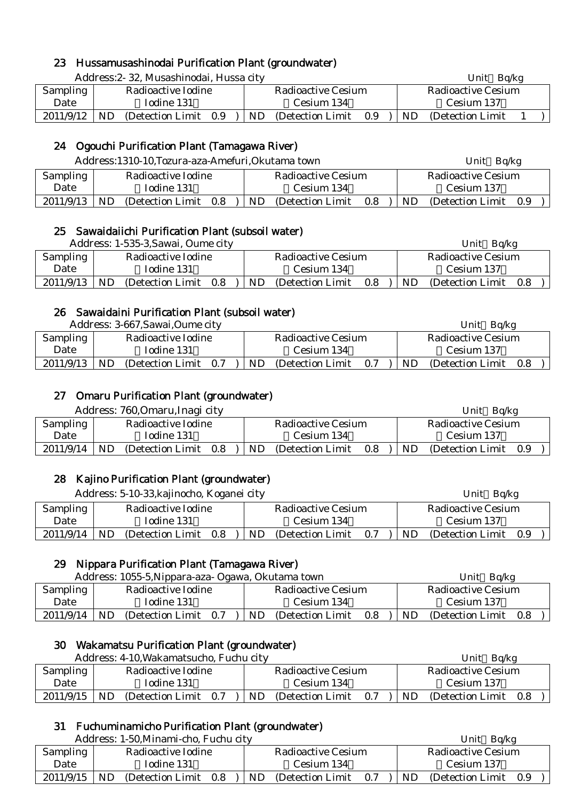### 23 Hussamusashinodai Purification Plant (groundwater)

Address: 2- 32, Musashinodai, Hussa city **Example 2018** Unit Bq/kg

| <b>Sampling</b> |    | Radioactive Iodine |     |  | Radioactive Cesium |                   |     |    | Radioactive Cesium |  |  |  |
|-----------------|----|--------------------|-----|--|--------------------|-------------------|-----|----|--------------------|--|--|--|
| Date            |    | Iodine 131         |     |  |                    | Cesium 134        |     |    | Cesium 137         |  |  |  |
| 2011/9/12       | ND | (Detection Limit)  | 0.9 |  | ND                 | (Detection Limit) | 0.9 | ND | (Detection Limit)  |  |  |  |

### 24 Ogouchi Purification Plant (Tamagawa River)

|                                             |            | Address:1310-10, Tozura-aza-Amefuri, Okutama town |  |  |                    |                   |     |                           | Bq/kg<br>Unit     |     |  |
|---------------------------------------------|------------|---------------------------------------------------|--|--|--------------------|-------------------|-----|---------------------------|-------------------|-----|--|
| Sampling                                    |            | Radioactive Iodine                                |  |  | Radioactive Cesium |                   |     | <b>Radioactive Cesium</b> |                   |     |  |
| Date                                        | Iodine 131 |                                                   |  |  |                    | Cesium 134        |     |                           | Cesium 137        |     |  |
| 2011/9/13<br>ND<br>(Detection Limit)<br>0.8 |            |                                                   |  |  | ND.                | (Detection Limit) | 0.8 | ND.                       | (Detection Limit) | 0.9 |  |

#### 25 Sawaidaiichi Purification Plant (subsoil water)

Address: 1-535-3, Sawai, Oume city Unit Bolkg Unit Bolkg Unit Bolkg Unit Bolkg

|           |                    | Autress. I-JJJ-J.Bawai, Oulift City |  |    |                    |     |                    | $UIIIU$ Dyne      |     |  |
|-----------|--------------------|-------------------------------------|--|----|--------------------|-----|--------------------|-------------------|-----|--|
| Sampling  | Radioactive Iodine |                                     |  |    | Radioactive Cesium |     | Radioactive Cesium |                   |     |  |
| Date      | Iodine 131         |                                     |  |    | Cesium 134         |     |                    | Cesium 137        |     |  |
| 2011/9/13 | ND.                | (Detection Limit 0.8)               |  | ND | (Detection Limit)  | 0.8 | ND.                | (Detection Limit) | 0.8 |  |

#### 26 Sawaidaini Purification Plant (subsoil water)

|                                             |            | Address: 3-667, Sawai, Oume city |  |     |                    |     |     | Unit $Bq/kg$       |     |
|---------------------------------------------|------------|----------------------------------|--|-----|--------------------|-----|-----|--------------------|-----|
| Sampling                                    |            | Radioactive Iodine               |  |     | Radioactive Cesium |     |     | Radioactive Cesium |     |
| Date                                        | Iodine 131 |                                  |  |     | Cesium 134         |     |     | Cesium 137         |     |
| 2011/9/13<br>ND<br>0.7<br>(Detection Limit) |            |                                  |  | ND. | (Detection Limit)  | 0.7 | ND. | (Detection Limit)  | 0.8 |

#### 27 Omaru Purification Plant (groundwater)

|           |            | Address: 760, Omaru, Inagi city |     |  |     |                    |     |    | Ba/kg<br>Unit      |     |
|-----------|------------|---------------------------------|-----|--|-----|--------------------|-----|----|--------------------|-----|
| Sampling  |            | Radioactive Iodine              |     |  |     | Radioactive Cesium |     |    | Radioactive Cesium |     |
| Date      | Iodine 131 |                                 |     |  |     | Cesium 134         |     |    | Cesium 137         |     |
| 2011/9/14 | ND.        | (Detection Limit)               | 0.8 |  | ND. | (Detection Limit)  | 0.8 | ND | (Detection Limit)  | 0.9 |

#### 28 Kajino Purification Plant (groundwater)

Address: 5-10-33, kajinocho, Koganei city View View View Unit Bq/kg

| <b>Sampling</b> |           | Radioactive Iodine |     |    | Radioactive Cesium |     |     | Radioactive Cesium |     |  |
|-----------------|-----------|--------------------|-----|----|--------------------|-----|-----|--------------------|-----|--|
| Date            |           | Iodine 131         |     |    | Cesium 134         |     |     | Cesium 137         |     |  |
| 2011/9/14       | <b>ND</b> | (Detection Limit)  | 0.8 | ND | (Detection Limit)  | 0.7 | ND. | (Detection Limit)  | 0.9 |  |

#### 29 Nippara Purification Plant (Tamagawa River)

|                                                 |  | Address: 1055-5, Nippara-aza- Ogawa, Okutama town |  |     |                    |     |     | Unit $Bq/kg$          |  |
|-------------------------------------------------|--|---------------------------------------------------|--|-----|--------------------|-----|-----|-----------------------|--|
| Sampling                                        |  | Radioactive Iodine                                |  |     | Radioactive Cesium |     |     | Radioactive Cesium    |  |
| Iodine 131<br>Date                              |  |                                                   |  |     | Cesium 134         |     |     | Cesium 137            |  |
| 2011/9/14<br><b>ND</b><br>(Detection Limit 0.7) |  |                                                   |  | ND. | (Detection Limit)  | 0.8 | ND. | (Detection Limit 0.8) |  |

#### 30 Wakamatsu Purification Plant (groundwater)

|                                             |            | Address: 4-10, Wakamatsucho, Fuchu city |  |  |                    |     |     | Ba/kg<br>Unit      |     |
|---------------------------------------------|------------|-----------------------------------------|--|--|--------------------|-----|-----|--------------------|-----|
| Sampling                                    |            | Radioactive Iodine                      |  |  | Radioactive Cesium |     |     | Radioactive Cesium |     |
| Date                                        | Iodine 131 |                                         |  |  | Cesium 134         |     |     | Cesium 137         |     |
| 2011/9/15<br>ND<br>(Detection Limit)<br>0.7 |            |                                         |  |  | (Detection Limit)  | 0.7 | ND. | (Detection Limit)  | 0.8 |

#### 31 Fuchuminamicho Purification Plant (groundwater)

|                                |                                                                    | Address: 1-50, Minami-cho, Fuchu city |  |  |                    |     | Unit $Bq/kg$          |  |
|--------------------------------|--------------------------------------------------------------------|---------------------------------------|--|--|--------------------|-----|-----------------------|--|
| Radioactive Iodine<br>Sampling |                                                                    |                                       |  |  | Radioactive Cesium |     | Radioactive Cesium    |  |
| Date                           | Iodine 131                                                         |                                       |  |  | Cesium 134         |     | Cesium 137            |  |
|                                | $2011/9/15$ ND<br>(Detection Limit $0.8$ ) ND (Detection Limit 0.7 |                                       |  |  |                    | ND. | (Detection Limit 0.9) |  |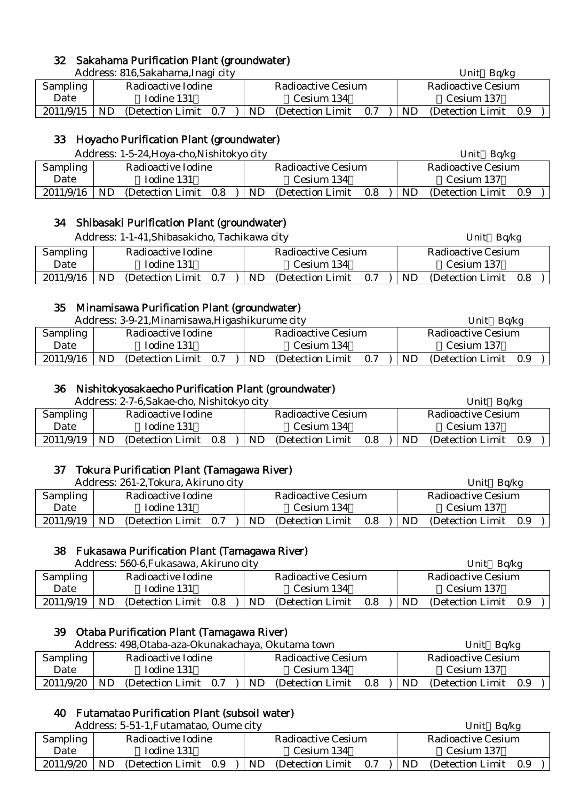### 32 Sakahama Purification Plant (groundwater)

|           |           | Address: 816, Sakahama, Inagi city |  |  |           |                    |     |    | Unit $Bq/kg$       |     |  |
|-----------|-----------|------------------------------------|--|--|-----------|--------------------|-----|----|--------------------|-----|--|
| Sampling  |           | Radioactive Iodine                 |  |  |           | Radioactive Cesium |     |    | Radioactive Cesium |     |  |
| Date      |           | Iodine 131                         |  |  |           | Cesium 134         |     |    | Cesium 137         |     |  |
| 2011/9/15 | <b>ND</b> | (Detection Limit 0.7)              |  |  | <b>ND</b> | (Detection Limit)  | 0.7 | ND | (Detection Limit)  | 0.9 |  |

### 33 Hoyacho Purification Plant (groundwater)

|                                             |            | Address: 1-5-24, Hoya-cho, Nishitokyo city |  |    |                    |     |    | Unit<br>Bq/kg      |     |  |
|---------------------------------------------|------------|--------------------------------------------|--|----|--------------------|-----|----|--------------------|-----|--|
| Sampling                                    |            | Radioactive Iodine                         |  |    | Radioactive Cesium |     |    | Radioactive Cesium |     |  |
| Date                                        | Iodine 131 |                                            |  |    | Cesium 134         |     |    | Cesium 137         |     |  |
| 2011/9/16<br>ND<br>(Detection Limit)<br>0.8 |            |                                            |  | ND | (Detection Limit)  | 0.8 | ND | (Detection Limit)  | 0.9 |  |

#### 34 Shibasaki Purification Plant (groundwater)

|           |                    | Address: 1-1-41, Shibasakicho, Tachikawa city |  |     |                           |     |     | Unit $Bq/kg$              |  |
|-----------|--------------------|-----------------------------------------------|--|-----|---------------------------|-----|-----|---------------------------|--|
| Sampling  | Radioactive Iodine |                                               |  |     | <b>Radioactive Cesium</b> |     |     | <b>Radioactive Cesium</b> |  |
| Date      |                    | Iodine 131                                    |  |     | Cesium 134                |     |     | Cesium 137                |  |
| 2011/9/16 | ND.                | (Detection Limit 0.7)                         |  | ND. | (Detection Limit)         | 0.7 | ND. | (Detection Limit 0.8)     |  |

### 35 Minamisawa Purification Plant (groundwater)

|                                             |            | Address: 3-9-21, Minamisawa, Higashikurume city |  |    |                    |     |     | Bq/kg<br>Unit      |     |
|---------------------------------------------|------------|-------------------------------------------------|--|----|--------------------|-----|-----|--------------------|-----|
| Sampling                                    |            | Radioactive Iodine                              |  |    | Radioactive Cesium |     |     | Radioactive Cesium |     |
| Date                                        | Iodine 131 |                                                 |  |    | Cesium 134         |     |     | Cesium 137         |     |
| 2011/9/16<br>ND<br>(Detection Limit)<br>0.7 |            |                                                 |  | ND | (Detection Limit)  | 0.7 | ND. | (Detection Limit)  | 0.9 |

#### 36 Nishitokyosakaecho Purification Plant (groundwater)

|                 |            | Address: 2-7-6, Sakae-cho, Nishitokyo city |     |                           |                   |     |  |                    | Bq/kg<br>Unit     |     |  |
|-----------------|------------|--------------------------------------------|-----|---------------------------|-------------------|-----|--|--------------------|-------------------|-----|--|
| <b>Sampling</b> |            | Radioactive Iodine                         |     | <b>Radioactive Cesium</b> |                   |     |  | Radioactive Cesium |                   |     |  |
| Date            | Iodine 131 |                                            |     |                           | Cesium 134        |     |  |                    | Cesium 137        |     |  |
| 2011/9/19       | ND         | (Detection Limit)                          | 0.8 | ND                        | (Detection Limit) | 0.8 |  | ND.                | (Detection Limit) | 0.9 |  |

#### 37 Tokura Purification Plant (Tamagawa River)

|                                       |            | Address: 261-2, Tokura, Akiruno city |     |                           |                   |     |  |           | Bq/kg<br>Unit      |     |  |
|---------------------------------------|------------|--------------------------------------|-----|---------------------------|-------------------|-----|--|-----------|--------------------|-----|--|
| Radioactive Iodine<br><b>Sampling</b> |            |                                      |     | <b>Radioactive Cesium</b> |                   |     |  |           | Radioactive Cesium |     |  |
| Date                                  | Iodine 131 |                                      |     |                           | Cesium 134        |     |  |           | Cesium 137         |     |  |
| 2011/9/19                             | ND         | (Detection Limit)                    | 0.7 | ND                        | (Detection Limit) | 0.8 |  | <b>ND</b> | (Detection Limit)  | 0.9 |  |

# 38 Fukasawa Purification Plant (Tamagawa River)

|                                |            | Address: 560-6, Fukasawa, Akiruno city |     |  |                    |                   |     |    | Ba/kg<br>Unit      |     |  |  |
|--------------------------------|------------|----------------------------------------|-----|--|--------------------|-------------------|-----|----|--------------------|-----|--|--|
| Sampling<br>Radioactive Iodine |            |                                        |     |  | Radioactive Cesium |                   |     |    | Radioactive Cesium |     |  |  |
| Date                           | Iodine 131 |                                        |     |  |                    | Cesium 134        |     |    | Cesium 137         |     |  |  |
| 2011/9/19                      | ND         | (Detection Limit)                      | 0.8 |  | ND.                | (Detection Limit) | 0.8 | ND | (Detection Limit)  | 0.9 |  |  |

# 39 Otaba Purification Plant (Tamagawa River)

|           |            | Address: 498, Otaba-aza-Okunakachaya, Okutama town |  |            |                    |     |     | Bq/kg<br>Unit         |  |
|-----------|------------|----------------------------------------------------|--|------------|--------------------|-----|-----|-----------------------|--|
| Sampling  |            | Radioactive Iodine                                 |  |            | Radioactive Cesium |     |     | Radioactive Cesium    |  |
| Date      | Iodine 131 |                                                    |  | Cesium 134 |                    |     |     |                       |  |
| 2011/9/20 | ND         | (Detection Limit 0.7)                              |  | ND.        | (Detection Limit)  | 0.8 | ND. | (Detection Limit 0.9) |  |

#### 40 Futamatao Purification Plant (subsoil water)

|                 |                    | Address: 5-51-1, Futamatao, Oume city |     |                           |     |                   |     | Unit<br>Ba/kg |                    |     |
|-----------------|--------------------|---------------------------------------|-----|---------------------------|-----|-------------------|-----|---------------|--------------------|-----|
| <b>Sampling</b> | Radioactive Iodine |                                       |     | <b>Radioactive Cesium</b> |     |                   |     |               | Radioactive Cesium |     |
| Date            | Iodine 131         |                                       |     | Cesium 134                |     |                   |     |               | Cesium 137         |     |
| 2011/9/20       | ND                 | (Detection Limit)                     | 0.9 |                           | ND. | (Detection Limit) | 0.7 | ND            | (Detection Limit)  | 0.9 |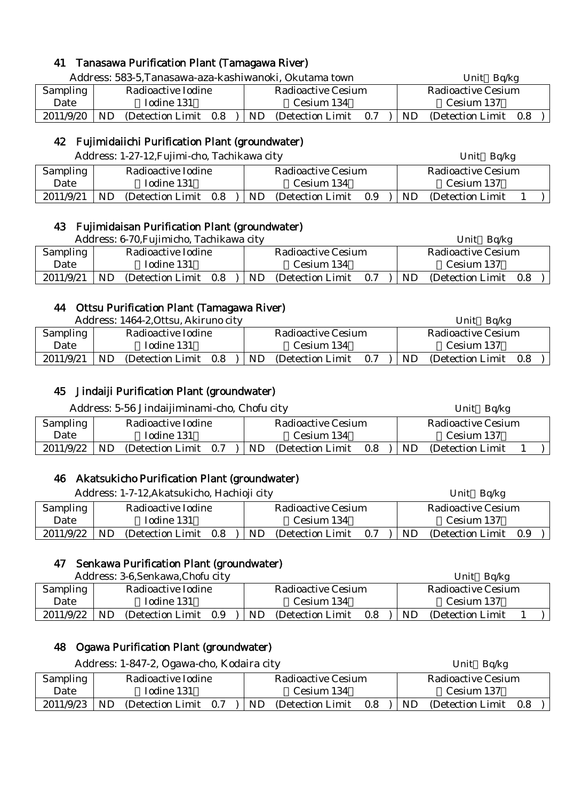### 41 Tanasawa Purification Plant (Tamagawa River)

|                 |     |                       |  |  |     | Address: 583-5, Tanasawa-aza-kashiwanoki, Okutama town |                    | Unit $Bq/kg$          |  |  |
|-----------------|-----|-----------------------|--|--|-----|--------------------------------------------------------|--------------------|-----------------------|--|--|
| <b>Sampling</b> |     | Radioactive Iodine    |  |  |     | <b>Radioactive Cesium</b>                              | Radioactive Cesium |                       |  |  |
| Date            |     | Iodine 131            |  |  |     | Cesium 134                                             |                    | Cesium 137            |  |  |
| 2011/9/20       | ND. | (Detection Limit 0.8) |  |  | ND. | (Detection Limit 0.7)                                  | ND                 | (Detection Limit 0.8) |  |  |

### 42 Fujimidaiichi Purification Plant (groundwater)

|  | Address: 1-27-12,Fujimi-cho, Tachikawa city |  |  |
|--|---------------------------------------------|--|--|
|--|---------------------------------------------|--|--|

|           |                    | Address: 1-27-12, Fujimi-cho, Tachikawa city |  |  |                    |                   |     |  | Unit Bq/kg |                    |  |            |  |  |
|-----------|--------------------|----------------------------------------------|--|--|--------------------|-------------------|-----|--|------------|--------------------|--|------------|--|--|
| Sampling  | Radioactive Iodine |                                              |  |  | Radioactive Cesium |                   |     |  |            | Radioactive Cesium |  |            |  |  |
| Date      |                    | Iodine 131                                   |  |  | Cesium 134         |                   |     |  |            |                    |  | Cesium 137 |  |  |
| 2011/9/21 | ND.                | (Detection Limit)<br>0.8                     |  |  | ND.                | (Detection Limit) | 0.9 |  | ND.        | (Detection Limit)  |  |            |  |  |

#### 43 Fujimidaisan Purification Plant (groundwater)

|                                       |            | Address: 6-70, Fujimicho, Tachikawa city |     |                    |                   |     |    | Bq/kg<br>Unit         |  |
|---------------------------------------|------------|------------------------------------------|-----|--------------------|-------------------|-----|----|-----------------------|--|
| <b>Sampling</b><br>Radioactive Iodine |            |                                          |     | Radioactive Cesium |                   |     |    | Radioactive Cesium    |  |
| Date                                  | Iodine 131 |                                          |     | Cesium 134         |                   |     |    |                       |  |
| 2011/9/21                             | ND         | (Detection Limit)                        | 0.8 | ND                 | (Detection Limit) | 0.7 | ND | (Detection Limit 0.8) |  |

### 44 Ottsu Purification Plant (Tamagawa River)

|                                |            | Address: 1464-2, Ottsu, Akiruno city |     |                    |    |                   |     |                    | Unit<br>Ba/kg     |     |  |
|--------------------------------|------------|--------------------------------------|-----|--------------------|----|-------------------|-----|--------------------|-------------------|-----|--|
| Sampling<br>Radioactive Iodine |            |                                      |     | Radioactive Cesium |    |                   |     | Radioactive Cesium |                   |     |  |
| Date                           | Iodine 131 |                                      |     | Cesium 134         |    |                   |     |                    | Cesium 137        |     |  |
| 2011/9/21                      | ND         | (Detection Limit)                    | 0.8 |                    | ND | (Detection Limit) | 0.7 | ND                 | (Detection Limit) | 0.8 |  |

#### 45 Jindaiji Purification Plant (groundwater)

|           |     | Address: 5-56 Jindaijiminami-cho, Chofu city |  |  |                    |         |     | Unit Bq/kg         |  |
|-----------|-----|----------------------------------------------|--|--|--------------------|---------|-----|--------------------|--|
| Sampling  |     | Radioactive Iodine                           |  |  | Radioactive Cesium |         |     | Radioactive Cesium |  |
| Date      |     | Iodine 131<br>Cesium 134                     |  |  |                    |         |     | Cesium 137         |  |
| 2011/9/22 | ND. | (Detection Limit $0.7$ ) ND                  |  |  | (Detection Limit)  | $0.8\,$ | ND. | (Detection Limit)  |  |

#### 46 Akatsukicho Purification Plant (groundwater)

|           |                                    | Address: 1-7-12, Akatsukicho, Hachioji city |  |  | Bg/kg<br>Unit      |                   |                    |           |                       |  |  |
|-----------|------------------------------------|---------------------------------------------|--|--|--------------------|-------------------|--------------------|-----------|-----------------------|--|--|
| Sampling  |                                    | Radioactive Iodine                          |  |  | Radioactive Cesium |                   | Radioactive Cesium |           |                       |  |  |
| Date      | Iodine 131                         |                                             |  |  |                    | Cesium 134        |                    |           | Cesium 137            |  |  |
| 2011/9/22 | <b>ND</b><br>(Detection Limit 0.8) |                                             |  |  | ND.                | (Detection Limit) | 0.7                | <b>ND</b> | (Detection Limit 0.9) |  |  |

#### 47 Senkawa Purification Plant (groundwater)

| Address: 3-6, Senkawa, Chofu city |    |                    |     |     |                    |     |     | Unit<br>Ba/kg      |  |
|-----------------------------------|----|--------------------|-----|-----|--------------------|-----|-----|--------------------|--|
| Sampling                          |    | Radioactive Iodine |     |     | Radioactive Cesium |     |     | Radioactive Cesium |  |
| Date                              |    | Iodine 131         |     |     | Cesium 134         |     |     | Cesium 137         |  |
| 2011/9/22                         | ND | (Detection Limit)  | 0.9 | ND. | (Detection Limit)  | 0.8 | ND. | (Detection Limit)  |  |

#### 48 Ogawa Purification Plant (groundwater)

| Address: 1-847-2, Ogawa-cho, Kodaira city |     |                       |  |  |     |                           |     | Unit $Bq/kg$ |                           |  |  |  |  |
|-------------------------------------------|-----|-----------------------|--|--|-----|---------------------------|-----|--------------|---------------------------|--|--|--|--|
| Sampling                                  |     | Radioactive Iodine    |  |  |     | <b>Radioactive Cesium</b> |     |              | <b>Radioactive Cesium</b> |  |  |  |  |
| Date                                      |     | Iodine 131            |  |  |     | Cesium 134                |     |              | Cesium 137                |  |  |  |  |
| 2011/9/23                                 | ND. | (Detection Limit 0.7) |  |  | ND. | (Detection Limit)         | 0.8 | ND.          | (Detection Limit 0.8)     |  |  |  |  |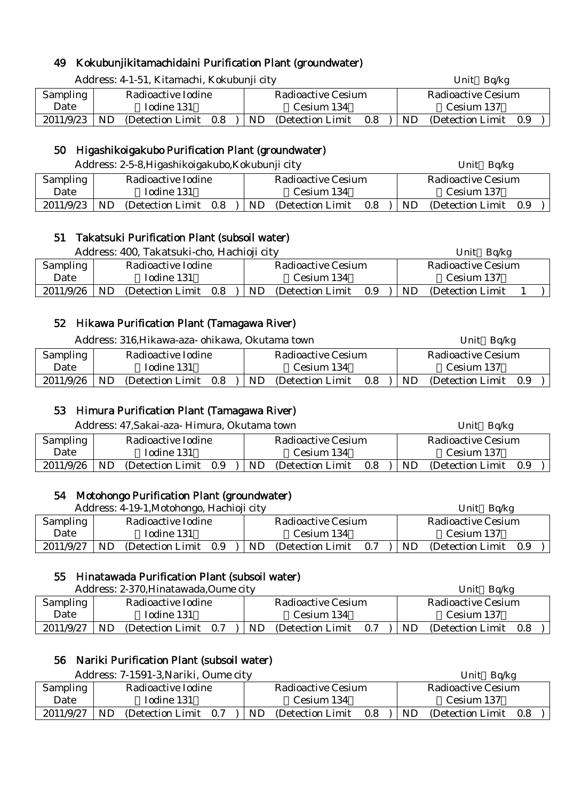# 49 Kokubunjikitamachidaini Purification Plant (groundwater)

|     |                       |  |                                             |     |                   |                                            |                           | Unit $Bq/kg$ |  |                                                    |  |  |
|-----|-----------------------|--|---------------------------------------------|-----|-------------------|--------------------------------------------|---------------------------|--------------|--|----------------------------------------------------|--|--|
|     |                       |  |                                             |     |                   |                                            |                           |              |  |                                                    |  |  |
|     | Iodine 131            |  |                                             |     | Cesium 134        |                                            |                           | Cesium 137   |  |                                                    |  |  |
| ND. |                       |  |                                             | ND. | (Detection Limit) | 0.8                                        | ND.                       |              |  |                                                    |  |  |
|     | Sampling<br>2011/9/23 |  | Radioactive Iodine<br>(Detection Limit 0.8) |     |                   | Address: 4-1-51, Kitamachi, Kokubunji city | <b>Radioactive Cesium</b> |              |  | <b>Radioactive Cesium</b><br>(Detection Limit 0.9) |  |  |

# 50 Higashikoigakubo Purification Plant (groundwater)

|           | Address: 2-5-8, Higashikoigakubo, Kokubunji city |                    |     |  |    |                           |     | Unit $Bq/kg$ |                    |     |  |  |
|-----------|--------------------------------------------------|--------------------|-----|--|----|---------------------------|-----|--------------|--------------------|-----|--|--|
| Sampling  |                                                  | Radioactive Iodine |     |  |    | <b>Radioactive Cesium</b> |     |              | Radioactive Cesium |     |  |  |
| Date      |                                                  | Iodine 131         |     |  |    | Cesium 134                |     |              | Cesium 137         |     |  |  |
| 2011/9/23 | ND                                               | (Detection Limit)  | 0.8 |  | ND | (Detection Limit)         | 0.8 | ND.          | (Detection Limit)  | 0.9 |  |  |

#### 51 Takatsuki Purification Plant (subsoil water)

| Address: 400, Takatsuki-cho, Hachioji city |    |                       |  |     |                           |     | Ba/kg<br>Unit |                    |  |  |  |
|--------------------------------------------|----|-----------------------|--|-----|---------------------------|-----|---------------|--------------------|--|--|--|
| Sampling                                   |    | Radioactive Iodine    |  |     | <b>Radioactive Cesium</b> |     |               | Radioactive Cesium |  |  |  |
| Date                                       |    | Iodine 131            |  |     | Cesium 134                |     |               | Cesium 137         |  |  |  |
| 2011/9/26                                  | ND | (Detection Limit 0.8) |  | ND. | (Detection Limit)         | 0.9 | ND            | (Detection Limit)  |  |  |  |

#### 52 Hikawa Purification Plant (Tamagawa River)

|           | Address: 316, Hikawa-aza- ohikawa, Okutama town |                    |     |     |                    |     | Unit Bq/kg |                       |  |  |  |
|-----------|-------------------------------------------------|--------------------|-----|-----|--------------------|-----|------------|-----------------------|--|--|--|
| Sampling  |                                                 | Radioactive Iodine |     |     | Radioactive Cesium |     |            | Radioactive Cesium    |  |  |  |
| Date      |                                                 | Iodine 131         |     |     | Cesium 134         |     |            | Cesium 137            |  |  |  |
| 2011/9/26 | ND.                                             | (Detection Limit)  | 0.8 | ND. | (Detection Limit)  | 0.8 | ND.        | (Detection Limit 0.9) |  |  |  |

#### 53 Himura Purification Plant (Tamagawa River)

| Address: 47, Sakai-aza- Himura, Okutama town |                    |                   |     |  |     |                    |     | Unit $Bq/kg$ |                    |     |  |  |
|----------------------------------------------|--------------------|-------------------|-----|--|-----|--------------------|-----|--------------|--------------------|-----|--|--|
| Sampling                                     | Radioactive Iodine |                   |     |  |     | Radioactive Cesium |     |              | Radioactive Cesium |     |  |  |
| Date                                         |                    | Iodine 131        |     |  |     | Cesium 134         |     |              | Cesium 137         |     |  |  |
| 2011/9/26                                    | ND                 | (Detection Limit) | 0.9 |  | ND. | (Detection Limit)  | 0.8 | ND.          | (Detection Limit)  | 0.9 |  |  |

#### 54 Motohongo Purification Plant (groundwater)

| Address: 4-19-1, Motohongo, Hachioji city |    |                       |  |  |    |                    |     |    | – Ba/kg<br>Unit    |     |  |
|-------------------------------------------|----|-----------------------|--|--|----|--------------------|-----|----|--------------------|-----|--|
| Sampling                                  |    | Radioactive Iodine    |  |  |    | Radioactive Cesium |     |    | Radioactive Cesium |     |  |
| Date                                      |    | Iodine 131            |  |  |    | Cesium 134         |     |    | Cesium 137         |     |  |
| 2011/9/27                                 | ND | (Detection Limit 0.9) |  |  | ND | (Detection Limit)  | 0.7 | ND | (Detection Limit)  | 0.9 |  |

#### 55 Hinatawada Purification Plant (subsoil water)

| Address: 2-370, Hinatawada, Oume city |     |                    |     |     |                    |     |     | Unit Bq/kg         |     |
|---------------------------------------|-----|--------------------|-----|-----|--------------------|-----|-----|--------------------|-----|
| Sampling                              |     | Radioactive Iodine |     |     | Radioactive Cesium |     |     | Radioactive Cesium |     |
| Date                                  |     | Iodine 131         |     |     | Cesium 134         |     |     | Cesium 137         |     |
| 2011/9/27                             | ND. | (Detection Limit)  | 0.7 | ND. | (Detection Limit)  | 0.7 | ND. | (Detection Limit)  | 0.8 |

# 56 Nariki Purification Plant (subsoil water)

| Address: 7-1591-3, Nariki, Oume city |                    |                   |     |  |     |                    |     |    | Unit<br>Ba/kg      |      |
|--------------------------------------|--------------------|-------------------|-----|--|-----|--------------------|-----|----|--------------------|------|
| Sampling                             | Radioactive Iodine |                   |     |  |     | Radioactive Cesium |     |    | Radioactive Cesium |      |
| Date                                 | Iodine 131         |                   |     |  |     | Cesium 134         |     |    | Cesium 137         |      |
| 2011/9/27                            | ND.                | (Detection Limit) | 0.7 |  | ND. | (Detection Limit)  | 0.8 | ND | (Detection Limit)  | -0.8 |